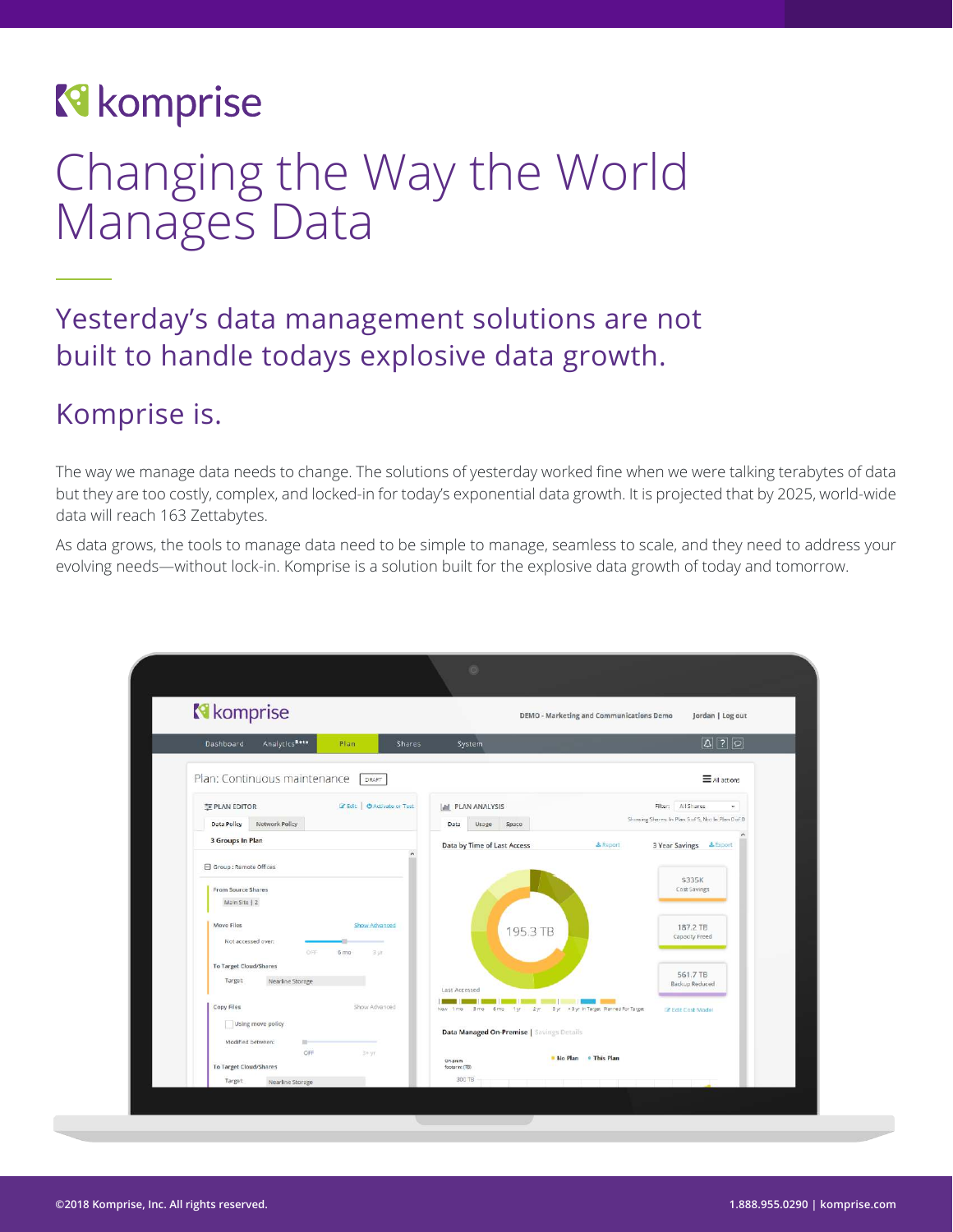### **R** komprise

### Changing the Way the World Manages Data

### Yesterday's data management solutions are not built to handle todays explosive data growth.

### Komprise is.

The way we manage data needs to change. The solutions of yesterday worked fine when we were talking terabytes of data but they are too costly, complex, and locked-in for today's exponential data growth. It is projected that by 2025, world-wide data will reach 163 Zettabytes.

As data grows, the tools to manage data need to be simple to manage, seamless to scale, and they need to address your evolving needs—without lock-in. Komprise is a solution built for the explosive data growth of today and tomorrow.

| <b>N</b> komprise                                    | DEMO - Marketing and Communications Demo                                                         | Jordan   Log out                                   |
|------------------------------------------------------|--------------------------------------------------------------------------------------------------|----------------------------------------------------|
|                                                      |                                                                                                  |                                                    |
| AnalyticsBeta<br>Dashboard<br>Plan<br><b>Shares</b>  | System                                                                                           | $\boxed{2}$                                        |
| Plan: Continuous maintenance<br>DRAFT                |                                                                                                  | $\equiv$ All actions                               |
| E Edit   O Activate or Test<br><b>FE PLAN EDITOR</b> | <b>III</b> PLAN ANALYSIS                                                                         | Filter: All Shares<br>$\mathbf{w}_i$               |
| <b>Data Policy</b><br>Network Policy                 | Usage<br>Space<br>Data                                                                           | Showing Shares: In Plan 5 of 5, Not In Plan 0 of 0 |
| 3 Groups In Plan                                     | Data by Time of Last Access<br>& Report                                                          | 3 Year Savings & Export                            |
| Group : Remote Offices                               |                                                                                                  |                                                    |
| From Source Shares                                   |                                                                                                  | \$335K<br>Cost Savings                             |
| Main Site   2                                        |                                                                                                  |                                                    |
| Move Files<br>Show Advanced                          | 195.3 TB                                                                                         | 187.2 TB                                           |
| Not accessed over:<br>OFF<br>6 mo<br>3 yr.           |                                                                                                  | Capacity Freed                                     |
| To Target Cloud/Shares                               |                                                                                                  |                                                    |
| Nearline Storage<br>Target:                          | Last Accessed                                                                                    | 561.7 TB<br>Backup Reduced                         |
| Copy Files<br>Show Advanced                          | Byr > 8 yr in Target Planned For Target<br>Now 1 mo<br>$3 \text{ mo}$<br>6 mo<br>2 <sub>wt</sub> | <b>Z</b> Edit Cost Model                           |
| Using move policy                                    | Data Managed On-Premise   Savings Details                                                        |                                                    |
| Modified between:<br>$10 -$<br>OFF<br>3+yr           |                                                                                                  |                                                    |
| To Target Cloud/Shares                               | No Plan . This Plan<br>On-prem<br>footprint (TB)                                                 |                                                    |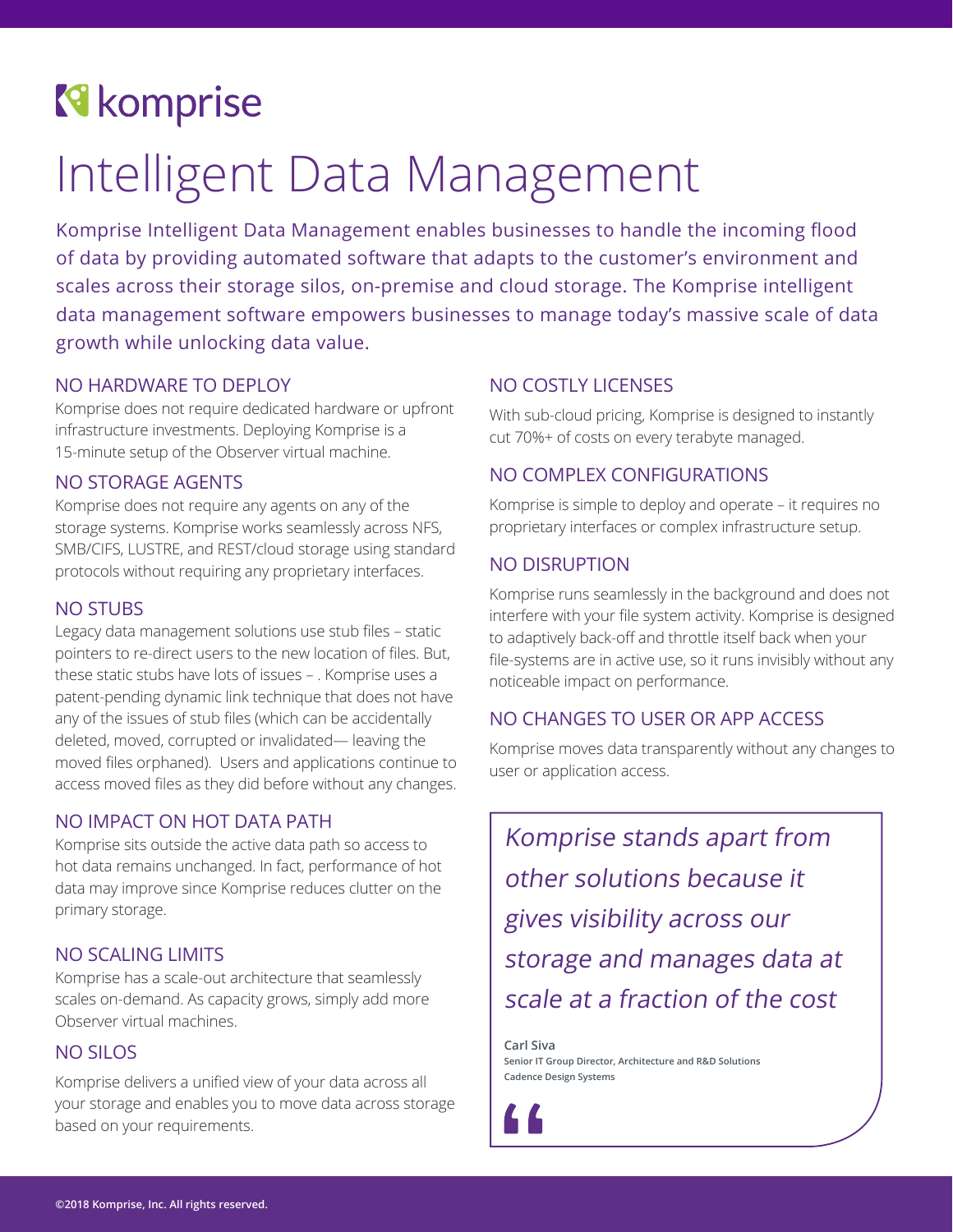### **R** komprise

## Intelligent Data Management

Komprise Intelligent Data Management enables businesses to handle the incoming flood of data by providing automated software that adapts to the customer's environment and scales across their storage silos, on-premise and cloud storage. The Komprise intelligent data management software empowers businesses to manage today's massive scale of data growth while unlocking data value.

#### NO HARDWARE TO DEPLOY

Komprise does not require dedicated hardware or upfront infrastructure investments. Deploying Komprise is a 15-minute setup of the Observer virtual machine.

#### NO STORAGE AGENTS

Komprise does not require any agents on any of the storage systems. Komprise works seamlessly across NFS, SMB/CIFS, LUSTRE, and REST/cloud storage using standard protocols without requiring any proprietary interfaces.

#### NO STUBS

Legacy data management solutions use stub files – static pointers to re-direct users to the new location of files. But, these static stubs have lots of issues – . Komprise uses a patent-pending dynamic link technique that does not have any of the issues of stub files (which can be accidentally deleted, moved, corrupted or invalidated— leaving the moved files orphaned). Users and applications continue to access moved files as they did before without any changes.

#### NO IMPACT ON HOT DATA PATH

Komprise sits outside the active data path so access to hot data remains unchanged. In fact, performance of hot data may improve since Komprise reduces clutter on the primary storage.

#### NO SCALING LIMITS

Komprise has a scale-out architecture that seamlessly scales on-demand. As capacity grows, simply add more Observer virtual machines.

#### NO SILOS

Komprise delivers a unified view of your data across all your storage and enables you to move data across storage based on your requirements.

#### NO COSTLY LICENSES

With sub-cloud pricing, Komprise is designed to instantly cut 70%+ of costs on every terabyte managed.

#### NO COMPLEX CONFIGURATIONS

Komprise is simple to deploy and operate – it requires no proprietary interfaces or complex infrastructure setup.

#### NO DISRUPTION

Komprise runs seamlessly in the background and does not interfere with your file system activity. Komprise is designed to adaptively back-off and throttle itself back when your file-systems are in active use, so it runs invisibly without any noticeable impact on performance.

#### NO CHANGES TO USER OR APP ACCESS

Komprise moves data transparently without any changes to user or application access.

Komprise stands apart from other solutions because it gives visibility across our storage and manages data at scale at a fraction of the cost

**Carl Siva Senior IT Group Director, Architecture and R&D Solutions Cadence Design Systems**

46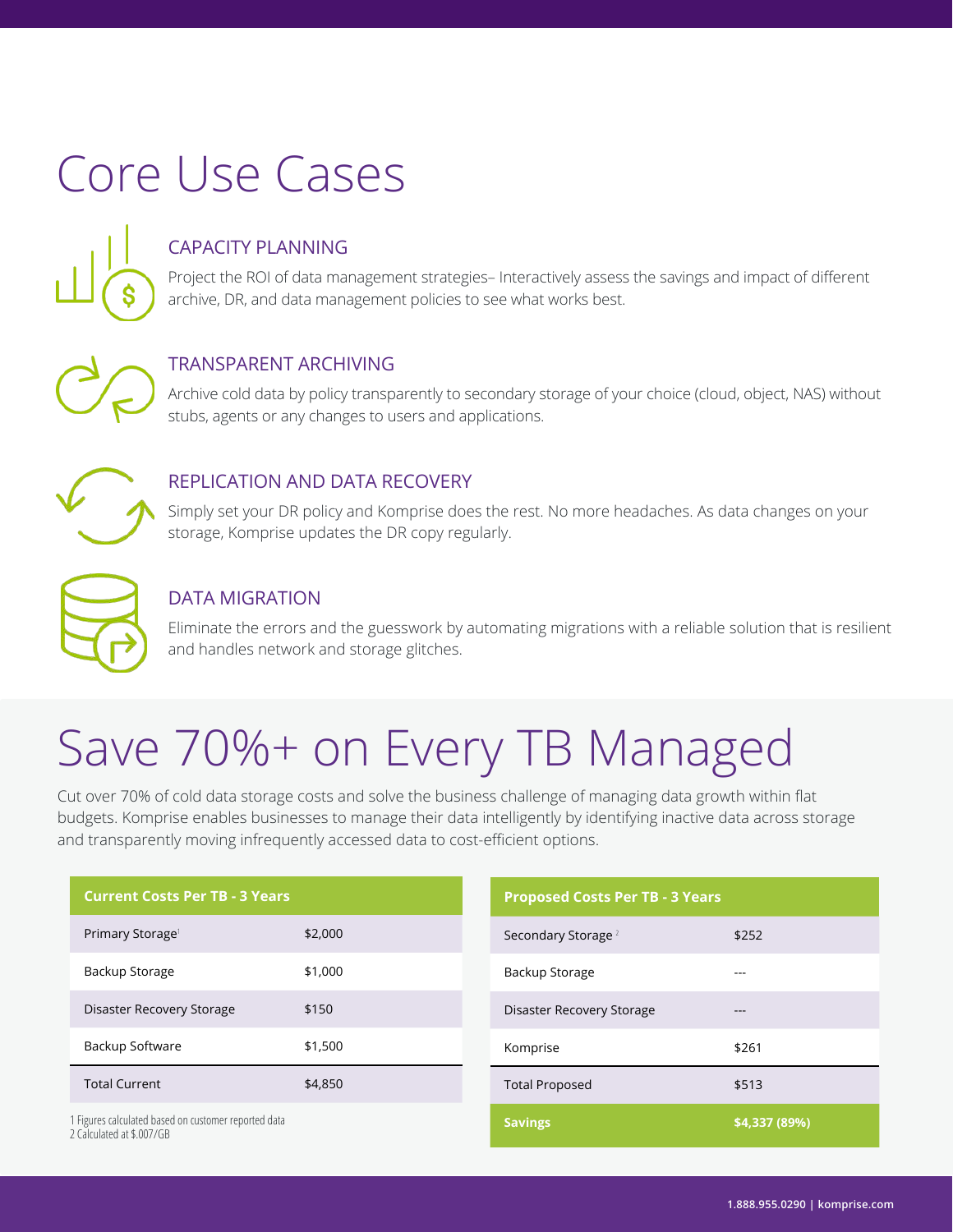# Core Use Cases

#### CAPACITY PLANNING

Project the ROI of data management strategies– Interactively assess the savings and impact of different archive, DR, and data management policies to see what works best.

#### TRANSPARENT ARCHIVING

Archive cold data by policy transparently to secondary storage of your choice (cloud, object, NAS) without stubs, agents or any changes to users and applications.



#### REPLICATION AND DATA RECOVERY

Simply set your DR policy and Komprise does the rest. No more headaches. As data changes on your storage, Komprise updates the DR copy regularly.



#### DATA MIGRATION

Eliminate the errors and the guesswork by automating migrations with a reliable solution that is resilient and handles network and storage glitches.

## Save 70%+ on Every TB Managed

Cut over 70% of cold data storage costs and solve the business challenge of managing data growth within flat budgets. Komprise enables businesses to manage their data intelligently by identifying inactive data across storage and transparently moving infrequently accessed data to cost-efficient options.

| <b>Current Costs Per TB - 3 Years</b>                                             |         | <b>Proposed Costs Per TB - 3 Years</b> |               |
|-----------------------------------------------------------------------------------|---------|----------------------------------------|---------------|
| Primary Storage <sup>1</sup>                                                      | \$2,000 | Secondary Storage <sup>2</sup>         | \$252         |
| Backup Storage                                                                    | \$1,000 | Backup Storage                         | $- - -$       |
| Disaster Recovery Storage                                                         | \$150   | Disaster Recovery Storage              | $- - -$       |
| Backup Software                                                                   | \$1,500 | Komprise                               | \$261         |
| <b>Total Current</b>                                                              | \$4,850 | <b>Total Proposed</b>                  | \$513         |
| 1 Figures calculated based on customer reported data<br>2 Calculated at \$ 007/GB |         | <b>Savings</b>                         | \$4,337 (89%) |